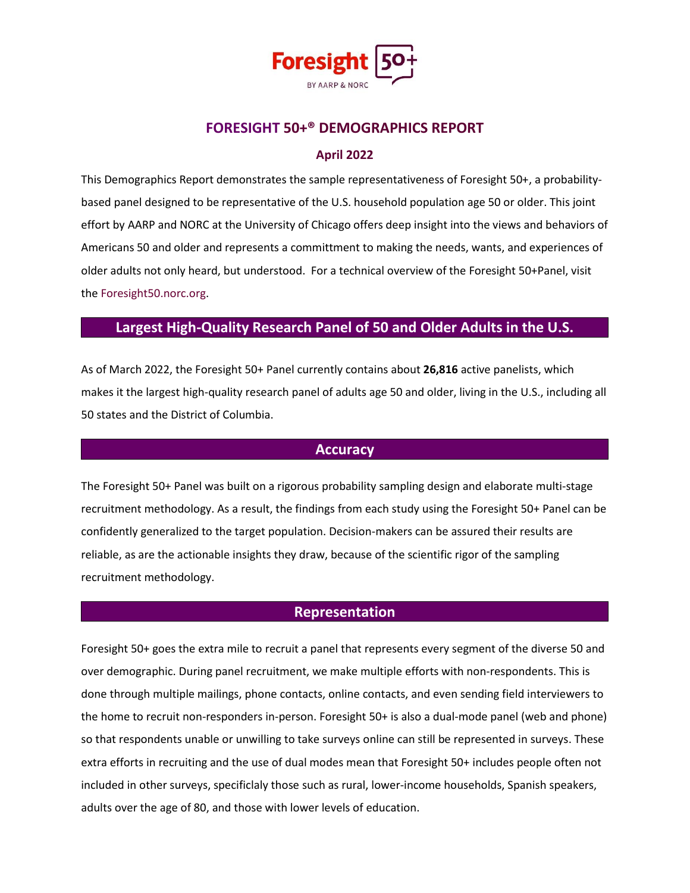

# **FORESIGHT 50+® DEMOGRAPHICS REPORT**

#### **April 2022**

This Demographics Report demonstrates the sample representativeness of Foresight 50+, a probabilitybased panel designed to be representative of the U.S. household population age 50 or older. This joint effort by AARP and NORC at the University of Chicago offers deep insight into the views and behaviors of Americans 50 and older and represents a committment to making the needs, wants, and experiences of older adults not only heard, but understood. For a technical overview of the Foresight 50+Panel, visit the Foresight50.norc.org.

# **Largest High-Quality Research Panel of 50 and Older Adults in the U.S.**

As of March 2022, the Foresight 50+ Panel currently contains about **26,816** active panelists, which makes it the largest high-quality research panel of adults age 50 and older, living in the U.S., including all 50 states and the District of Columbia.

## **Accuracy**

The Foresight 50+ Panel was built on a rigorous probability sampling design and elaborate multi-stage recruitment methodology. As a result, the findings from each study using the Foresight 50+ Panel can be confidently generalized to the target population. Decision-makers can be assured their results are reliable, as are the actionable insights they draw, because of the scientific rigor of the sampling recruitment methodology.

#### **Representation**

Foresight 50+ goes the extra mile to recruit a panel that represents every segment of the diverse 50 and over demographic. During panel recruitment, we make multiple efforts with non-respondents. This is done through multiple mailings, phone contacts, online contacts, and even sending field interviewers to the home to recruit non-responders in-person. Foresight 50+ is also a dual-mode panel (web and phone) so that respondents unable or unwilling to take surveys online can still be represented in surveys. These extra efforts in recruiting and the use of dual modes mean that Foresight 50+ includes people often not included in other surveys, specificlaly those such as rural, lower-income households, Spanish speakers, adults over the age of 80, and those with lower levels of education.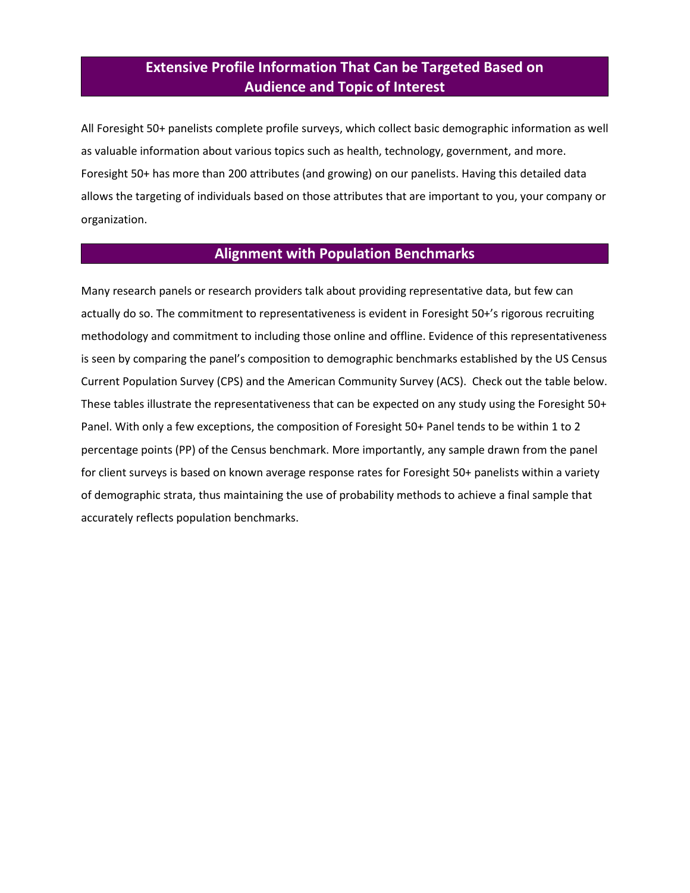# **Extensive Profile Information That Can be Targeted Based on Audience and Topic of Interest**

All Foresight 50+ panelists complete profile surveys, which collect basic demographic information as well as valuable information about various topics such as health, technology, government, and more. Foresight 50+ has more than 200 attributes (and growing) on our panelists. Having this detailed data allows the targeting of individuals based on those attributes that are important to you, your company or organization.

## **Alignment with Population Benchmarks**

Many research panels or research providers talk about providing representative data, but few can actually do so. The commitment to representativeness is evident in Foresight 50+'s rigorous recruiting methodology and commitment to including those online and offline. Evidence of this representativeness is seen by comparing the panel's composition to demographic benchmarks established by the US Census Current Population Survey (CPS) and the American Community Survey (ACS). Check out the table below. These tables illustrate the representativeness that can be expected on any study using the Foresight 50+ Panel. With only a few exceptions, the composition of Foresight 50+ Panel tends to be within 1 to 2 percentage points (PP) of the Census benchmark. More importantly, any sample drawn from the panel for client surveys is based on known average response rates for Foresight 50+ panelists within a variety of demographic strata, thus maintaining the use of probability methods to achieve a final sample that accurately reflects population benchmarks.